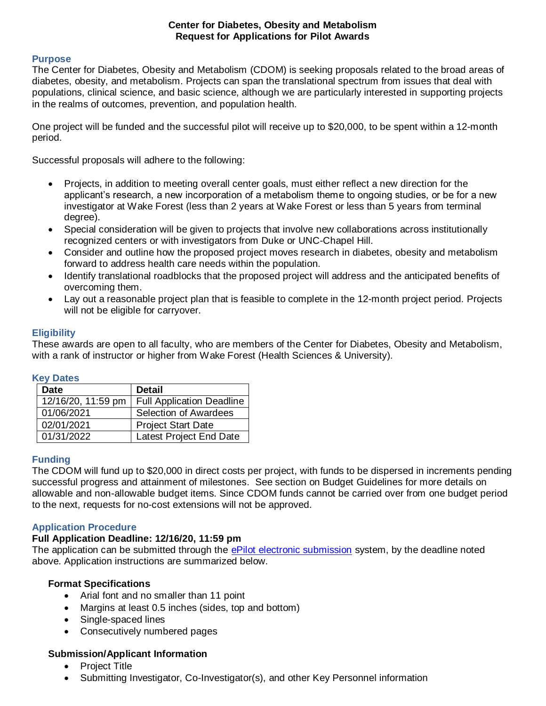#### **Center for Diabetes, Obesity and Metabolism Request for Applications for Pilot Awards**

## **Purpose**

The Center for Diabetes, Obesity and Metabolism (CDOM) is seeking proposals related to the broad areas of diabetes, obesity, and metabolism. Projects can span the translational spectrum from issues that deal with populations, clinical science, and basic science, although we are particularly interested in supporting projects in the realms of outcomes, prevention, and population health.

One project will be funded and the successful pilot will receive up to \$20,000, to be spent within a 12-month period.

Successful proposals will adhere to the following:

- Projects, in addition to meeting overall center goals, must either reflect a new direction for the applicant's research, a new incorporation of a metabolism theme to ongoing studies, or be for a new investigator at Wake Forest (less than 2 years at Wake Forest or less than 5 years from terminal degree).
- Special consideration will be given to projects that involve new collaborations across institutionally recognized centers or with investigators from Duke or UNC-Chapel Hill.
- Consider and outline how the proposed project moves research in diabetes, obesity and metabolism forward to address health care needs within the population.
- Identify translational roadblocks that the proposed project will address and the anticipated benefits of overcoming them.
- Lay out a reasonable project plan that is feasible to complete in the 12-month project period. Projects will not be eligible for carryover.

## **Eligibility**

These awards are open to all faculty, who are members of the Center for Diabetes, Obesity and Metabolism, with a rank of instructor or higher from Wake Forest (Health Sciences & University).

## **Key Dates**

| <b>Date</b>        | <b>Detail</b>                    |
|--------------------|----------------------------------|
| 12/16/20, 11:59 pm | <b>Full Application Deadline</b> |
| 01/06/2021         | <b>Selection of Awardees</b>     |
| 02/01/2021         | <b>Project Start Date</b>        |
| 01/31/2022         | Latest Project End Date          |

## **Funding**

The CDOM will fund up to \$20,000 in direct costs per project, with funds to be dispersed in increments pending successful progress and attainment of milestones. See section on Budget Guidelines for more details on allowable and non-allowable budget items. Since CDOM funds cannot be carried over from one budget period to the next, requests for no-cost extensions will not be approved.

## **Application Procedure**

## **Full Application Deadline: 12/16/20, 11:59 pm**

The application can be submitted through the [ePilot electronic submission](https://redcap.wakehealth.edu/redcap/surveys/?s=PRMAHDJMDR) system, by the deadline noted above. Application instructions are summarized below.

## **Format Specifications**

- Arial font and no smaller than 11 point
- Margins at least 0.5 inches (sides, top and bottom)
- Single-spaced lines
- Consecutively numbered pages

## **Submission/Applicant Information**

- Project Title
- Submitting Investigator, Co-Investigator(s), and other Key Personnel information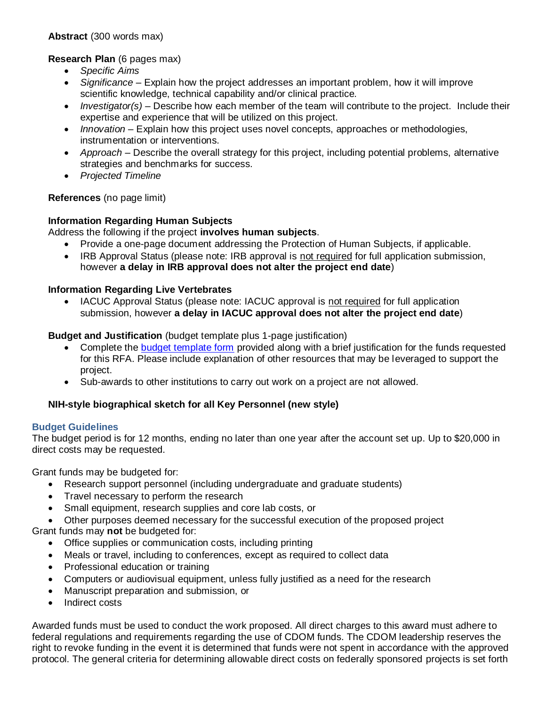# **Research Plan** (6 pages max)

- *Specific Aims*
- *Significance* Explain how the project addresses an important problem, how it will improve scientific knowledge, technical capability and/or clinical practice.
- *Investigator(s)* Describe how each member of the team will contribute to the project. Include their expertise and experience that will be utilized on this project.
- *Innovation* Explain how this project uses novel concepts, approaches or methodologies, instrumentation or interventions.
- *Approach* Describe the overall strategy for this project, including potential problems, alternative strategies and benchmarks for success.
- *Projected Timeline*

# **References** (no page limit)

## **Information Regarding Human Subjects**

Address the following if the project **involves human subjects**.

- Provide a one-page document addressing the Protection of Human Subjects, if applicable.
- IRB Approval Status (please note: IRB approval is not required for full application submission, however **a delay in IRB approval does not alter the project end date**)

# **Information Regarding Live Vertebrates**

 IACUC Approval Status (please note: IACUC approval is not required for full application submission, however **a delay in IACUC approval does not alter the project end date**)

## **Budget and Justification** (budget template plus 1-page justification)

- Complete the [budget template form](https://wakehealth.sharepoint.com/:x:/r/teams/CTSIWebCollection/Shared%20Documents/CSTI-Public/CTSI%20Pilot%20Budget%20Template.xlsx) provided along with a brief justification for the funds requested for this RFA. Please include explanation of other resources that may be leveraged to support the project.
- Sub-awards to other institutions to carry out work on a project are not allowed.

# **NIH-style biographical sketch for all Key Personnel (new style)**

## **Budget Guidelines**

The budget period is for 12 months, ending no later than one year after the account set up. Up to \$20,000 in direct costs may be requested.

Grant funds may be budgeted for:

- Research support personnel (including undergraduate and graduate students)
- Travel necessary to perform the research
- Small equipment, research supplies and core lab costs, or
- Other purposes deemed necessary for the successful execution of the proposed project

Grant funds may **not** be budgeted for:

- Office supplies or communication costs, including printing
- Meals or travel, including to conferences, except as required to collect data
- Professional education or training
- Computers or audiovisual equipment, unless fully justified as a need for the research
- Manuscript preparation and submission, or
- Indirect costs

Awarded funds must be used to conduct the work proposed. All direct charges to this award must adhere to federal regulations and requirements regarding the use of CDOM funds. The CDOM leadership reserves the right to revoke funding in the event it is determined that funds were not spent in accordance with the approved protocol. The general criteria for determining allowable direct costs on federally sponsored projects is set forth